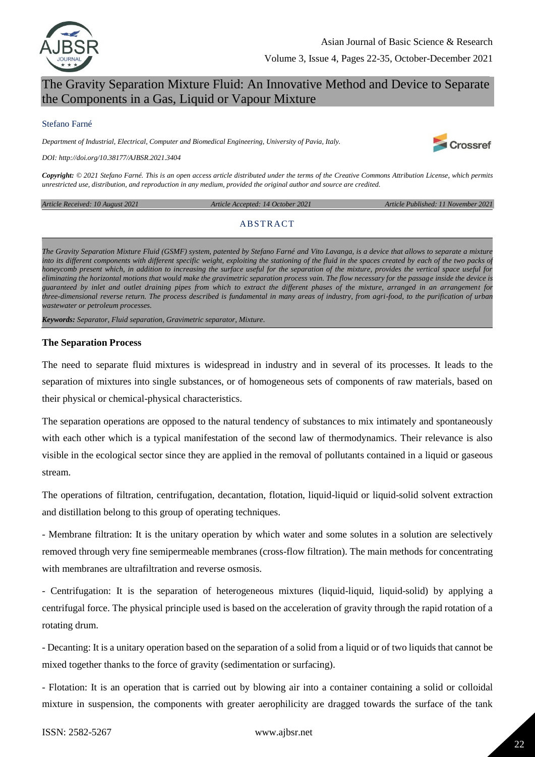

## The Gravity Separation Mixture Fluid: An Innovative Method and Device to Separate the Components in a Gas, Liquid or Vapour Mixture

#### Stefano Farné

*Department of Industrial, Electrical, Computer and Biomedical Engineering, University of Pavia, Italy.*

*DOI: http://doi.org/10.38177/AJBSR.2021.3404*

*Copyright: © 2021 Stefano Farné. This is an open access article distributed under the terms of the Creative Commons Attribution License, which permits unrestricted use, distribution, and reproduction in any medium, provided the original author and source are credited.* 

*Article Received: 10 August 2021 Article Accepted: 14 October 2021 Article Published: 11 November 2021*

Crossref

#### **ABSTRACT**

*The Gravity Separation Mixture Fluid (GSMF) system, patented by Stefano Farné and Vito Lavanga, is a device that allows to separate a mixture into its different components with different specific weight, exploiting the stationing of the fluid in the spaces created by each of the two packs of honeycomb present which, in addition to increasing the surface useful for the separation of the mixture, provides the vertical space useful for eliminating the horizontal motions that would make the gravimetric separation process vain. The flow necessary for the passage inside the device is guaranteed by inlet and outlet draining pipes from which to extract the different phases of the mixture, arranged in an arrangement for three-dimensional reverse return. The process described is fundamental in many areas of industry, from agri-food, to the purification of urban wastewater or petroleum processes.*

*Keywords: Separator, Fluid separation, Gravimetric separator, Mixture.*

#### **The Separation Process**

The need to separate fluid mixtures is widespread in industry and in several of its processes. It leads to the separation of mixtures into single substances, or of homogeneous sets of components of raw materials, based on their physical or chemical-physical characteristics.

The separation operations are opposed to the natural tendency of substances to mix intimately and spontaneously with each other which is a typical manifestation of the second law of thermodynamics. Their relevance is also visible in the ecological sector since they are applied in the removal of pollutants contained in a liquid or gaseous stream.

The operations of filtration, centrifugation, decantation, flotation, liquid-liquid or liquid-solid solvent extraction and distillation belong to this group of operating techniques.

- Membrane filtration: It is the unitary operation by which water and some solutes in a solution are selectively removed through very fine semipermeable membranes (cross-flow filtration). The main methods for concentrating with membranes are ultrafiltration and reverse osmosis.

- Centrifugation: It is the separation of heterogeneous mixtures (liquid-liquid, liquid-solid) by applying a centrifugal force. The physical principle used is based on the acceleration of gravity through the rapid rotation of a rotating drum.

- Decanting: It is a unitary operation based on the separation of a solid from a liquid or of two liquids that cannot be mixed together thanks to the force of gravity (sedimentation or surfacing).

- Flotation: It is an operation that is carried out by blowing air into a container containing a solid or colloidal mixture in suspension, the components with greater aerophilicity are dragged towards the surface of the tank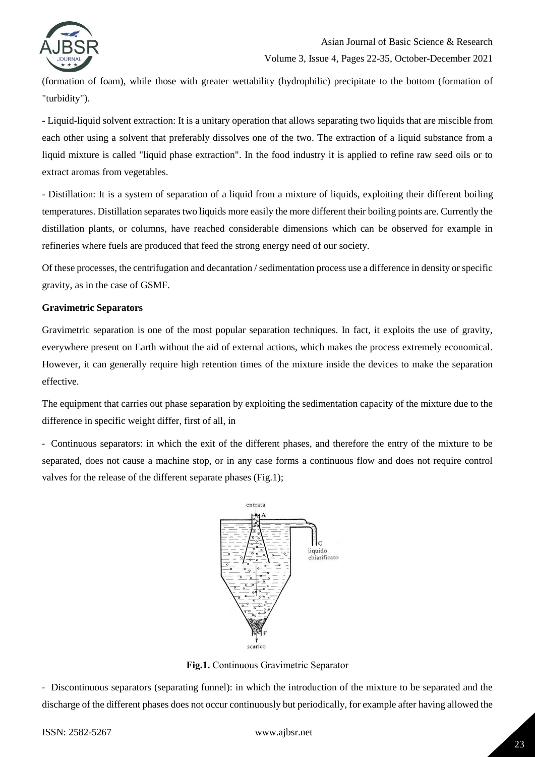

Volume 3, Issue 4, Pages 22-35, October-December 2021

(formation of foam), while those with greater wettability (hydrophilic) precipitate to the bottom (formation of "turbidity").

- Liquid-liquid solvent extraction: It is a unitary operation that allows separating two liquids that are miscible from each other using a solvent that preferably dissolves one of the two. The extraction of a liquid substance from a liquid mixture is called "liquid phase extraction". In the food industry it is applied to refine raw seed oils or to extract aromas from vegetables.

- Distillation: It is a system of separation of a liquid from a mixture of liquids, exploiting their different boiling temperatures. Distillation separates two liquids more easily the more different their boiling points are. Currently the distillation plants, or columns, have reached considerable dimensions which can be observed for example in refineries where fuels are produced that feed the strong energy need of our society.

Of these processes, the centrifugation and decantation / sedimentation process use a difference in density or specific gravity, as in the case of GSMF.

#### **Gravimetric Separators**

Gravimetric separation is one of the most popular separation techniques. In fact, it exploits the use of gravity, everywhere present on Earth without the aid of external actions, which makes the process extremely economical. However, it can generally require high retention times of the mixture inside the devices to make the separation effective.

The equipment that carries out phase separation by exploiting the sedimentation capacity of the mixture due to the difference in specific weight differ, first of all, in

- Continuous separators: in which the exit of the different phases, and therefore the entry of the mixture to be separated, does not cause a machine stop, or in any case forms a continuous flow and does not require control valves for the release of the different separate phases (Fig.1);



**Fig.1.** Continuous Gravimetric Separator

- Discontinuous separators (separating funnel): in which the introduction of the mixture to be separated and the discharge of the different phases does not occur continuously but periodically, for example after having allowed the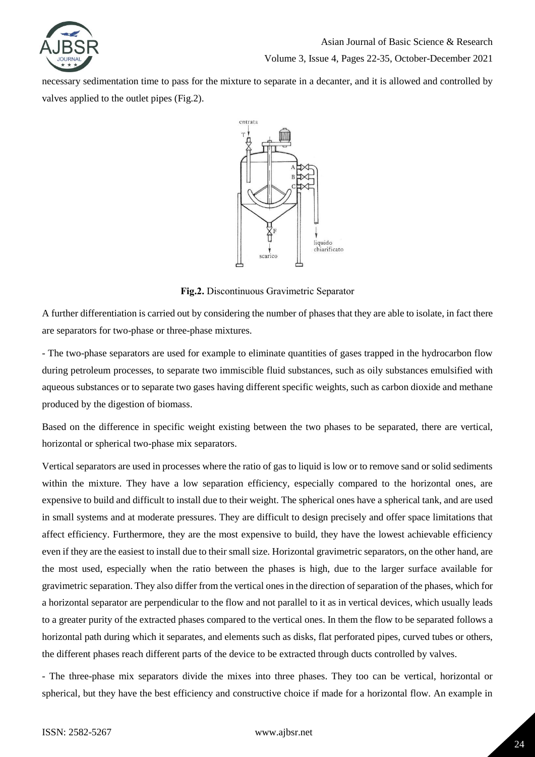

Volume 3, Issue 4, Pages 22-35, October-December 2021

necessary sedimentation time to pass for the mixture to separate in a decanter, and it is allowed and controlled by valves applied to the outlet pipes (Fig.2).



**Fig.2.** Discontinuous Gravimetric Separator

A further differentiation is carried out by considering the number of phases that they are able to isolate, in fact there are separators for two-phase or three-phase mixtures.

- The two-phase separators are used for example to eliminate quantities of gases trapped in the hydrocarbon flow during petroleum processes, to separate two immiscible fluid substances, such as oily substances emulsified with aqueous substances or to separate two gases having different specific weights, such as carbon dioxide and methane produced by the digestion of biomass.

Based on the difference in specific weight existing between the two phases to be separated, there are vertical, horizontal or spherical two-phase mix separators.

Vertical separators are used in processes where the ratio of gas to liquid is low or to remove sand or solid sediments within the mixture. They have a low separation efficiency, especially compared to the horizontal ones, are expensive to build and difficult to install due to their weight. The spherical ones have a spherical tank, and are used in small systems and at moderate pressures. They are difficult to design precisely and offer space limitations that affect efficiency. Furthermore, they are the most expensive to build, they have the lowest achievable efficiency even if they are the easiest to install due to their small size. Horizontal gravimetric separators, on the other hand, are the most used, especially when the ratio between the phases is high, due to the larger surface available for gravimetric separation. They also differ from the vertical ones in the direction of separation of the phases, which for a horizontal separator are perpendicular to the flow and not parallel to it as in vertical devices, which usually leads to a greater purity of the extracted phases compared to the vertical ones. In them the flow to be separated follows a horizontal path during which it separates, and elements such as disks, flat perforated pipes, curved tubes or others, the different phases reach different parts of the device to be extracted through ducts controlled by valves.

- The three-phase mix separators divide the mixes into three phases. They too can be vertical, horizontal or spherical, but they have the best efficiency and constructive choice if made for a horizontal flow. An example in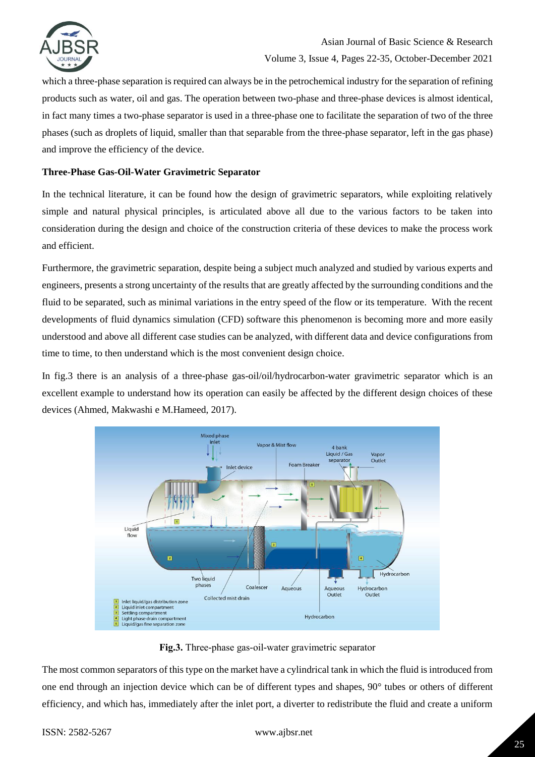

which a three-phase separation is required can always be in the petrochemical industry for the separation of refining products such as water, oil and gas. The operation between two-phase and three-phase devices is almost identical, in fact many times a two-phase separator is used in a three-phase one to facilitate the separation of two of the three phases (such as droplets of liquid, smaller than that separable from the three-phase separator, left in the gas phase) and improve the efficiency of the device.

#### **Three-Phase Gas-Oil-Water Gravimetric Separator**

In the technical literature, it can be found how the design of gravimetric separators, while exploiting relatively simple and natural physical principles, is articulated above all due to the various factors to be taken into consideration during the design and choice of the construction criteria of these devices to make the process work and efficient.

Furthermore, the gravimetric separation, despite being a subject much analyzed and studied by various experts and engineers, presents a strong uncertainty of the results that are greatly affected by the surrounding conditions and the fluid to be separated, such as minimal variations in the entry speed of the flow or its temperature. With the recent developments of fluid dynamics simulation (CFD) software this phenomenon is becoming more and more easily understood and above all different case studies can be analyzed, with different data and device configurations from time to time, to then understand which is the most convenient design choice.

In fig.3 there is an analysis of a three-phase gas-oil/oil/hydrocarbon-water gravimetric separator which is an excellent example to understand how its operation can easily be affected by the different design choices of these devices (Ahmed, Makwashi e M.Hameed, 2017).



**Fig.3.** Three-phase gas-oil-water gravimetric separator

The most common separators of this type on the market have a cylindrical tank in which the fluid is introduced from one end through an injection device which can be of different types and shapes, 90° tubes or others of different efficiency, and which has, immediately after the inlet port, a diverter to redistribute the fluid and create a uniform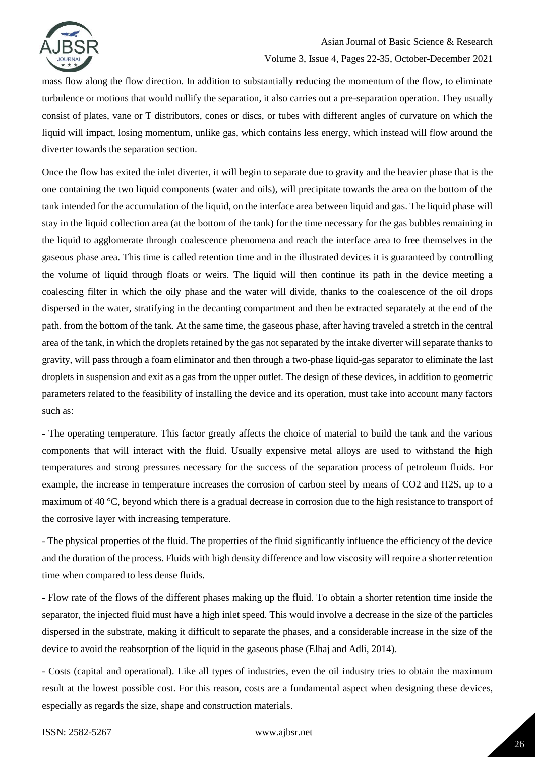

#### Volume 3, Issue 4, Pages 22-35, October-December 2021

mass flow along the flow direction. In addition to substantially reducing the momentum of the flow, to eliminate turbulence or motions that would nullify the separation, it also carries out a pre-separation operation. They usually consist of plates, vane or T distributors, cones or discs, or tubes with different angles of curvature on which the liquid will impact, losing momentum, unlike gas, which contains less energy, which instead will flow around the diverter towards the separation section.

Once the flow has exited the inlet diverter, it will begin to separate due to gravity and the heavier phase that is the one containing the two liquid components (water and oils), will precipitate towards the area on the bottom of the tank intended for the accumulation of the liquid, on the interface area between liquid and gas. The liquid phase will stay in the liquid collection area (at the bottom of the tank) for the time necessary for the gas bubbles remaining in the liquid to agglomerate through coalescence phenomena and reach the interface area to free themselves in the gaseous phase area. This time is called retention time and in the illustrated devices it is guaranteed by controlling the volume of liquid through floats or weirs. The liquid will then continue its path in the device meeting a coalescing filter in which the oily phase and the water will divide, thanks to the coalescence of the oil drops dispersed in the water, stratifying in the decanting compartment and then be extracted separately at the end of the path. from the bottom of the tank. At the same time, the gaseous phase, after having traveled a stretch in the central area of the tank, in which the droplets retained by the gas not separated by the intake diverter will separate thanks to gravity, will pass through a foam eliminator and then through a two-phase liquid-gas separator to eliminate the last droplets in suspension and exit as a gas from the upper outlet. The design of these devices, in addition to geometric parameters related to the feasibility of installing the device and its operation, must take into account many factors such as:

- The operating temperature. This factor greatly affects the choice of material to build the tank and the various components that will interact with the fluid. Usually expensive metal alloys are used to withstand the high temperatures and strong pressures necessary for the success of the separation process of petroleum fluids. For example, the increase in temperature increases the corrosion of carbon steel by means of CO2 and H2S, up to a maximum of 40 °C, beyond which there is a gradual decrease in corrosion due to the high resistance to transport of the corrosive layer with increasing temperature.

- The physical properties of the fluid. The properties of the fluid significantly influence the efficiency of the device and the duration of the process. Fluids with high density difference and low viscosity will require a shorter retention time when compared to less dense fluids.

- Flow rate of the flows of the different phases making up the fluid. To obtain a shorter retention time inside the separator, the injected fluid must have a high inlet speed. This would involve a decrease in the size of the particles dispersed in the substrate, making it difficult to separate the phases, and a considerable increase in the size of the device to avoid the reabsorption of the liquid in the gaseous phase (Elhaj and Adli, 2014).

- Costs (capital and operational). Like all types of industries, even the oil industry tries to obtain the maximum result at the lowest possible cost. For this reason, costs are a fundamental aspect when designing these devices, especially as regards the size, shape and construction materials.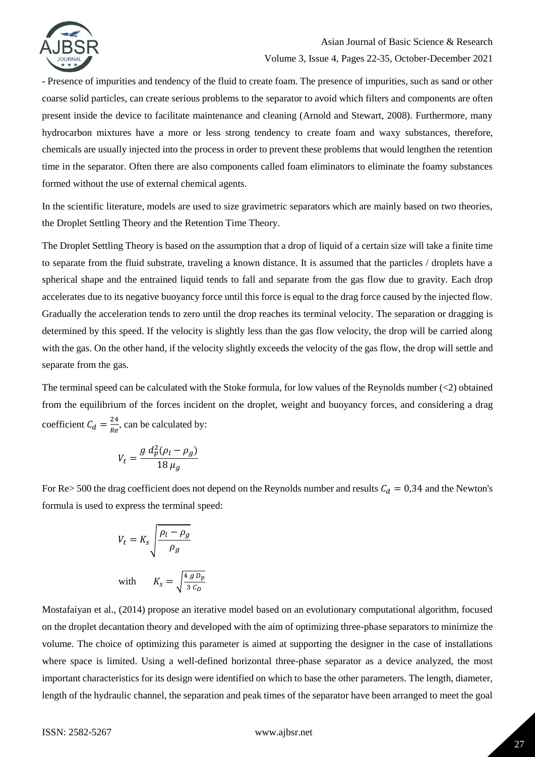

#### Volume 3, Issue 4, Pages 22-35, October-December 2021

- Presence of impurities and tendency of the fluid to create foam. The presence of impurities, such as sand or other coarse solid particles, can create serious problems to the separator to avoid which filters and components are often present inside the device to facilitate maintenance and cleaning (Arnold and Stewart, 2008). Furthermore, many hydrocarbon mixtures have a more or less strong tendency to create foam and waxy substances, therefore, chemicals are usually injected into the process in order to prevent these problems that would lengthen the retention time in the separator. Often there are also components called foam eliminators to eliminate the foamy substances formed without the use of external chemical agents.

In the scientific literature, models are used to size gravimetric separators which are mainly based on two theories, the Droplet Settling Theory and the Retention Time Theory.

The Droplet Settling Theory is based on the assumption that a drop of liquid of a certain size will take a finite time to separate from the fluid substrate, traveling a known distance. It is assumed that the particles / droplets have a spherical shape and the entrained liquid tends to fall and separate from the gas flow due to gravity. Each drop accelerates due to its negative buoyancy force until this force is equal to the drag force caused by the injected flow. Gradually the acceleration tends to zero until the drop reaches its terminal velocity. The separation or dragging is determined by this speed. If the velocity is slightly less than the gas flow velocity, the drop will be carried along with the gas. On the other hand, if the velocity slightly exceeds the velocity of the gas flow, the drop will settle and separate from the gas.

The terminal speed can be calculated with the Stoke formula, for low values of the Reynolds number (<2) obtained from the equilibrium of the forces incident on the droplet, weight and buoyancy forces, and considering a drag coefficient  $C_d = \frac{2}{R}$  $\frac{24}{Re}$ , can be calculated by:

$$
V_t = \frac{g d_p^2 (\rho_l - \rho_g)}{18 \mu_g}
$$

For Re> 500 the drag coefficient does not depend on the Reynolds number and results  $C_d = 0.34$  and the Newton's formula is used to express the terminal speed:

$$
V_t = K_s \sqrt{\frac{\rho_l - \rho_g}{\rho_g}}
$$
  
with 
$$
K_s = \sqrt{\frac{4 g D_p}{3 C_D}}
$$

Mostafaiyan et al., (2014) propose an iterative model based on an evolutionary computational algorithm, focused on the droplet decantation theory and developed with the aim of optimizing three-phase separators to minimize the volume. The choice of optimizing this parameter is aimed at supporting the designer in the case of installations where space is limited. Using a well-defined horizontal three-phase separator as a device analyzed, the most important characteristics for its design were identified on which to base the other parameters. The length, diameter, length of the hydraulic channel, the separation and peak times of the separator have been arranged to meet the goal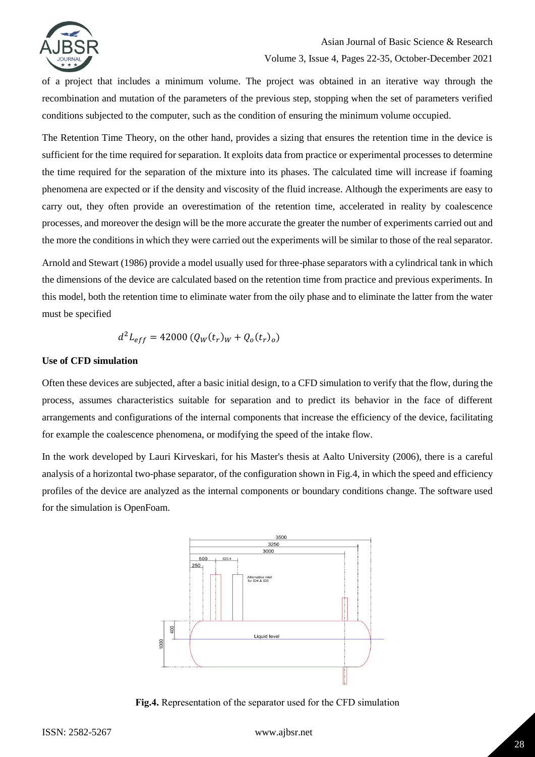

of a project that includes a minimum volume. The project was obtained in an iterative way through the recombination and mutation of the parameters of the previous step, stopping when the set of parameters verified conditions subjected to the computer, such as the condition of ensuring the minimum volume occupied.

The Retention Time Theory, on the other hand, provides a sizing that ensures the retention time in the device is sufficient for the time required for separation. It exploits data from practice or experimental processes to determine the time required for the separation of the mixture into its phases. The calculated time will increase if foaming phenomena are expected or if the density and viscosity of the fluid increase. Although the experiments are easy to carry out, they often provide an overestimation of the retention time, accelerated in reality by coalescence processes, and moreover the design will be the more accurate the greater the number of experiments carried out and the more the conditions in which they were carried out the experiments will be similar to those of the real separator.

Arnold and Stewart (1986) provide a model usually used for three-phase separators with a cylindrical tank in which the dimensions of the device are calculated based on the retention time from practice and previous experiments. In this model, both the retention time to eliminate water from the oily phase and to eliminate the latter from the water must be specified

$$
d^2L_{eff} = 42000 (Q_W(t_r)_W + Q_o(t_r)_o)
$$

#### **Use of CFD simulation**

Often these devices are subjected, after a basic initial design, to a CFD simulation to verify that the flow, during the process, assumes characteristics suitable for separation and to predict its behavior in the face of different arrangements and configurations of the internal components that increase the efficiency of the device, facilitating for example the coalescence phenomena, or modifying the speed of the intake flow.

In the work developed by Lauri Kirveskari, for his Master's thesis at Aalto University (2006), there is a careful analysis of a horizontal two-phase separator, of the configuration shown in Fig.4, in which the speed and efficiency profiles of the device are analyzed as the internal components or boundary conditions change. The software used for the simulation is OpenFoam.



**Fig.4.** Representation of the separator used for the CFD simulation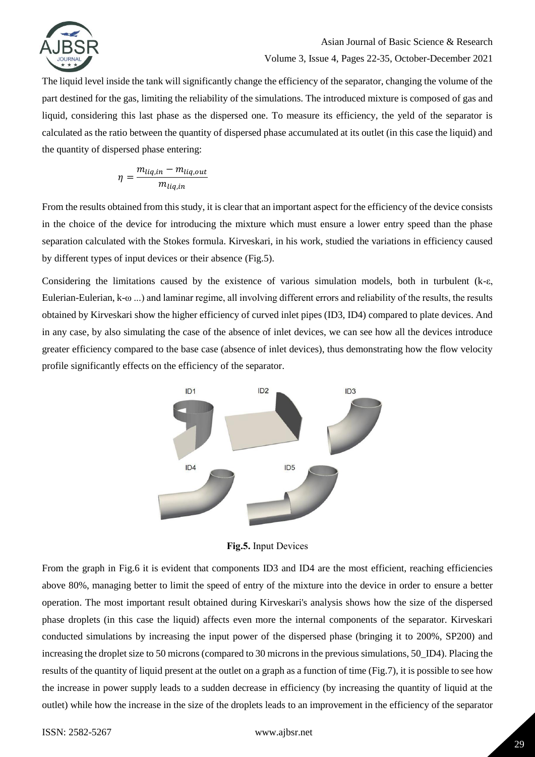

#### Volume 3, Issue 4, Pages 22-35, October-December 2021

The liquid level inside the tank will significantly change the efficiency of the separator, changing the volume of the part destined for the gas, limiting the reliability of the simulations. The introduced mixture is composed of gas and liquid, considering this last phase as the dispersed one. To measure its efficiency, the yeld of the separator is calculated as the ratio between the quantity of dispersed phase accumulated at its outlet (in this case the liquid) and the quantity of dispersed phase entering:

$$
\eta = \frac{m_{liq,in} - m_{liq,out}}{m_{liq,in}}
$$

From the results obtained from this study, it is clear that an important aspect for the efficiency of the device consists in the choice of the device for introducing the mixture which must ensure a lower entry speed than the phase separation calculated with the Stokes formula. Kirveskari, in his work, studied the variations in efficiency caused by different types of input devices or their absence (Fig.5).

Considering the limitations caused by the existence of various simulation models, both in turbulent ( $k-\epsilon$ , Eulerian-Eulerian, k-ω ...) and laminar regime, all involving different errors and reliability of the results, the results obtained by Kirveskari show the higher efficiency of curved inlet pipes (ID3, ID4) compared to plate devices. And in any case, by also simulating the case of the absence of inlet devices, we can see how all the devices introduce greater efficiency compared to the base case (absence of inlet devices), thus demonstrating how the flow velocity profile significantly effects on the efficiency of the separator.



**Fig.5.** Input Devices

From the graph in Fig.6 it is evident that components ID3 and ID4 are the most efficient, reaching efficiencies above 80%, managing better to limit the speed of entry of the mixture into the device in order to ensure a better operation. The most important result obtained during Kirveskari's analysis shows how the size of the dispersed phase droplets (in this case the liquid) affects even more the internal components of the separator. Kirveskari conducted simulations by increasing the input power of the dispersed phase (bringing it to 200%, SP200) and increasing the droplet size to 50 microns (compared to 30 microns in the previous simulations, 50\_ID4). Placing the results of the quantity of liquid present at the outlet on a graph as a function of time (Fig.7), it is possible to see how the increase in power supply leads to a sudden decrease in efficiency (by increasing the quantity of liquid at the outlet) while how the increase in the size of the droplets leads to an improvement in the efficiency of the separator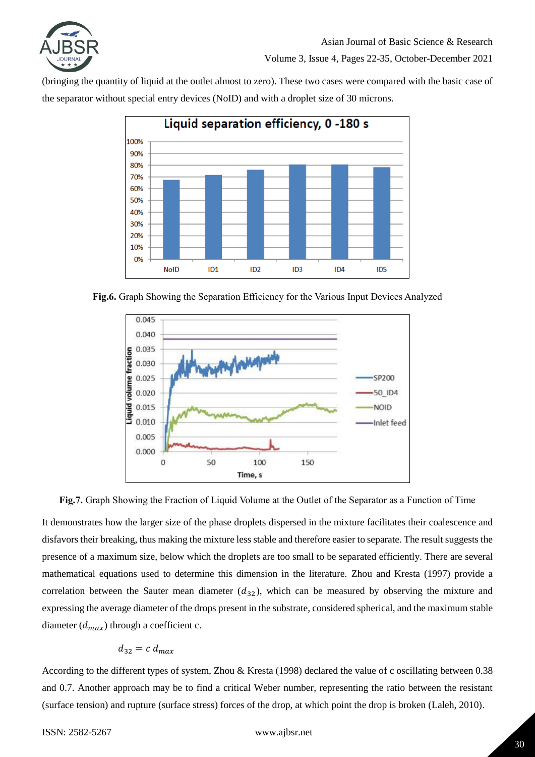

(bringing the quantity of liquid at the outlet almost to zero). These two cases were compared with the basic case of the separator without special entry devices (NoID) and with a droplet size of 30 microns.



**Fig.6.** Graph Showing the Separation Efficiency for the Various Input Devices Analyzed





It demonstrates how the larger size of the phase droplets dispersed in the mixture facilitates their coalescence and disfavors their breaking, thus making the mixture less stable and therefore easier to separate. The result suggests the presence of a maximum size, below which the droplets are too small to be separated efficiently. There are several mathematical equations used to determine this dimension in the literature. Zhou and Kresta (1997) provide a correlation between the Sauter mean diameter  $(d_{32})$ , which can be measured by observing the mixture and expressing the average diameter of the drops present in the substrate, considered spherical, and the maximum stable diameter  $(d_{max})$  through a coefficient c.

$$
d_{32}=c\;d_{max}
$$

According to the different types of system, Zhou & Kresta (1998) declared the value of c oscillating between 0.38 and 0.7. Another approach may be to find a critical Weber number, representing the ratio between the resistant (surface tension) and rupture (surface stress) forces of the drop, at which point the drop is broken (Laleh, 2010).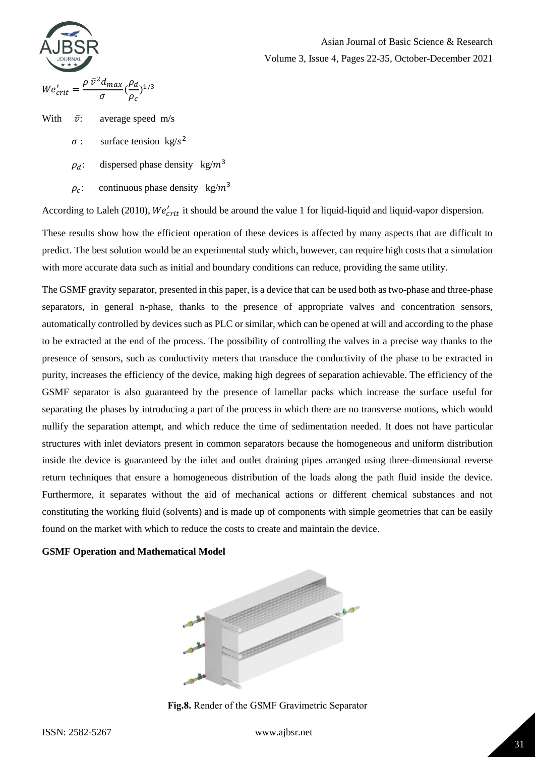# $We'_{crit} = \frac{\rho \bar{v}^2}{\rho}$  $rac{\sigma}{\sigma}$  (  $\rho$  $\frac{\rho_a}{\rho_c}$ )<sup>1</sup>

#### Asian Journal of Basic Science & Research

Volume 3, Issue 4, Pages 22-35, October-December 2021

With 
$$
\bar{v}
$$
: average speed m/s

- $\sigma$ : surface tension kg/s<sup>2</sup>
	- $\rho_d$ : dispersed phase density kg/m<sup>3</sup>
	- $\rho_c$ : continuous phase density kg/m<sup>3</sup>

According to Laleh (2010),  $We'_{crit}$  it should be around the value 1 for liquid-liquid and liquid-vapor dispersion.

These results show how the efficient operation of these devices is affected by many aspects that are difficult to predict. The best solution would be an experimental study which, however, can require high costs that a simulation with more accurate data such as initial and boundary conditions can reduce, providing the same utility.

The GSMF gravity separator, presented in this paper, is a device that can be used both as two-phase and three-phase separators, in general n-phase, thanks to the presence of appropriate valves and concentration sensors, automatically controlled by devices such as PLC or similar, which can be opened at will and according to the phase to be extracted at the end of the process. The possibility of controlling the valves in a precise way thanks to the presence of sensors, such as conductivity meters that transduce the conductivity of the phase to be extracted in purity, increases the efficiency of the device, making high degrees of separation achievable. The efficiency of the GSMF separator is also guaranteed by the presence of lamellar packs which increase the surface useful for separating the phases by introducing a part of the process in which there are no transverse motions, which would nullify the separation attempt, and which reduce the time of sedimentation needed. It does not have particular structures with inlet deviators present in common separators because the homogeneous and uniform distribution inside the device is guaranteed by the inlet and outlet draining pipes arranged using three-dimensional reverse return techniques that ensure a homogeneous distribution of the loads along the path fluid inside the device. Furthermore, it separates without the aid of mechanical actions or different chemical substances and not constituting the working fluid (solvents) and is made up of components with simple geometries that can be easily found on the market with which to reduce the costs to create and maintain the device.

#### **GSMF Operation and Mathematical Model**



**Fig.8.** Render of the GSMF Gravimetric Separator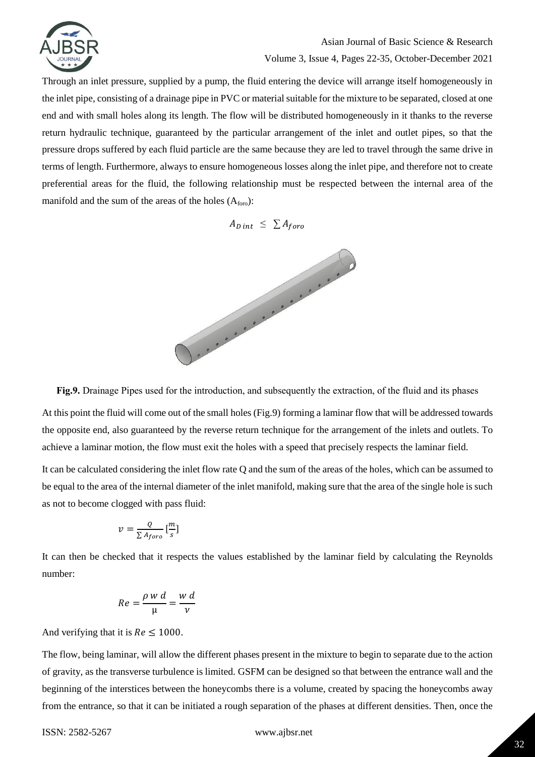

Volume 3, Issue 4, Pages 22-35, October-December 2021

Through an inlet pressure, supplied by a pump, the fluid entering the device will arrange itself homogeneously in the inlet pipe, consisting of a drainage pipe in PVC or material suitable for the mixture to be separated, closed at one end and with small holes along its length. The flow will be distributed homogeneously in it thanks to the reverse return hydraulic technique, guaranteed by the particular arrangement of the inlet and outlet pipes, so that the pressure drops suffered by each fluid particle are the same because they are led to travel through the same drive in terms of length. Furthermore, always to ensure homogeneous losses along the inlet pipe, and therefore not to create preferential areas for the fluid, the following relationship must be respected between the internal area of the manifold and the sum of the areas of the holes  $(A<sub>foro</sub>)$ :





**Fig.9.** Drainage Pipes used for the introduction, and subsequently the extraction, of the fluid and its phases

At this point the fluid will come out of the small holes (Fig.9) forming a laminar flow that will be addressed towards the opposite end, also guaranteed by the reverse return technique for the arrangement of the inlets and outlets. To achieve a laminar motion, the flow must exit the holes with a speed that precisely respects the laminar field.

It can be calculated considering the inlet flow rate Q and the sum of the areas of the holes, which can be assumed to be equal to the area of the internal diameter of the inlet manifold, making sure that the area of the single hole is such as not to become clogged with pass fluid:

$$
v = \frac{Q}{\sum A_{foro}} \left[\frac{m}{s}\right]
$$

It can then be checked that it respects the values established by the laminar field by calculating the Reynolds number:

$$
Re = \frac{\rho \, w \, d}{\mu} = \frac{w \, d}{v}
$$

And verifying that it is  $Re \leq 1000$ .

The flow, being laminar, will allow the different phases present in the mixture to begin to separate due to the action of gravity, as the transverse turbulence is limited. GSFM can be designed so that between the entrance wall and the beginning of the interstices between the honeycombs there is a volume, created by spacing the honeycombs away from the entrance, so that it can be initiated a rough separation of the phases at different densities. Then, once the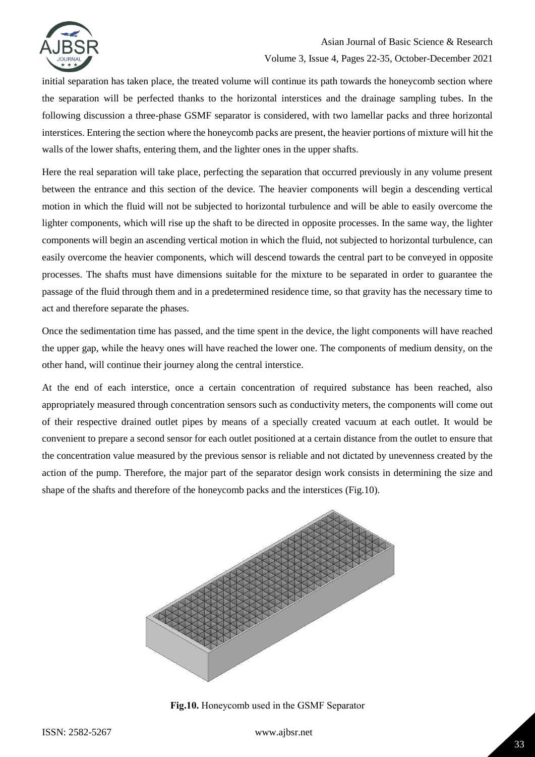

### Asian Journal of Basic Science & Research Volume 3, Issue 4, Pages 22-35, October-December 2021

initial separation has taken place, the treated volume will continue its path towards the honeycomb section where the separation will be perfected thanks to the horizontal interstices and the drainage sampling tubes. In the following discussion a three-phase GSMF separator is considered, with two lamellar packs and three horizontal interstices. Entering the section where the honeycomb packs are present, the heavier portions of mixture will hit the walls of the lower shafts, entering them, and the lighter ones in the upper shafts.

Here the real separation will take place, perfecting the separation that occurred previously in any volume present between the entrance and this section of the device. The heavier components will begin a descending vertical motion in which the fluid will not be subjected to horizontal turbulence and will be able to easily overcome the lighter components, which will rise up the shaft to be directed in opposite processes. In the same way, the lighter components will begin an ascending vertical motion in which the fluid, not subjected to horizontal turbulence, can easily overcome the heavier components, which will descend towards the central part to be conveyed in opposite processes. The shafts must have dimensions suitable for the mixture to be separated in order to guarantee the passage of the fluid through them and in a predetermined residence time, so that gravity has the necessary time to act and therefore separate the phases.

Once the sedimentation time has passed, and the time spent in the device, the light components will have reached the upper gap, while the heavy ones will have reached the lower one. The components of medium density, on the other hand, will continue their journey along the central interstice.

At the end of each interstice, once a certain concentration of required substance has been reached, also appropriately measured through concentration sensors such as conductivity meters, the components will come out of their respective drained outlet pipes by means of a specially created vacuum at each outlet. It would be convenient to prepare a second sensor for each outlet positioned at a certain distance from the outlet to ensure that the concentration value measured by the previous sensor is reliable and not dictated by unevenness created by the action of the pump. Therefore, the major part of the separator design work consists in determining the size and shape of the shafts and therefore of the honeycomb packs and the interstices (Fig.10).



**Fig.10.** Honeycomb used in the GSMF Separator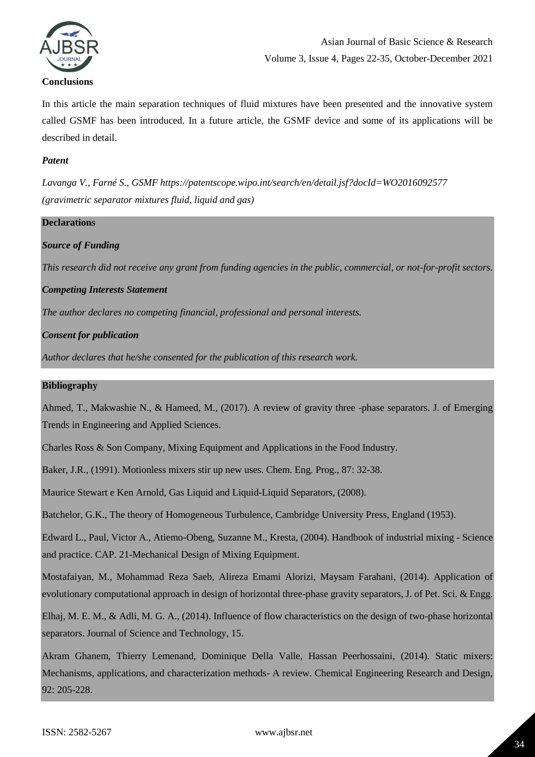

# Asian Journal of Basic Science & Research Volume 3, Issue 4, Pages 22-35, October-December 2021

In this article the main separation techniques of fluid mixtures have been presented and the innovative system called GSMF has been introduced. In a future article, the GSMF device and some of its applications will be described in detail.

#### *Patent*

*Lavanga V., Farné S., GSMF https://patentscope.wipo.int/search/en/detail.jsf?docId=WO2016092577 (gravimetric separator mixtures fluid, liquid and gas)*

# **Declarations** *Source of Funding This research did not receive any grant from funding agencies in the public, commercial, or not-for-profit sectors. Competing Interests Statement The author declares no competing financial, professional and personal interests. Consent for publication Author declares that he/she consented for the publication of this research work.*

#### **Bibliography**

Ahmed, T., Makwashie N., & Hameed, M., (2017). A review of gravity three -phase separators. J. of Emerging Trends in Engineering and Applied Sciences.

Charles Ross & Son Company, Mixing Equipment and Applications in the Food Industry.

Baker, J.R., (1991). Motionless mixers stir up new uses. Chem. Eng. Prog., 87: 32-38.

Maurice Stewart e Ken Arnold, Gas Liquid and Liquid-Liquid Separators, (2008).

Batchelor, G.K., The theory of Homogeneous Turbulence, Cambridge University Press, England (1953).

Edward L., Paul, Victor A., Atiemo-Obeng, Suzanne M., Kresta, (2004). Handbook of industrial mixing - Science and practice. CAP. 21-Mechanical Design of Mixing Equipment.

Mostafaiyan, M., Mohammad Reza Saeb, Alireza Emami Alorizi, Maysam Farahani, (2014). Application of evolutionary computational approach in design of horizontal three-phase gravity separators, J. of Pet. Sci. & Engg.

Elhaj, M. E. M., & Adli, M. G. A., (2014). Influence of flow characteristics on the design of two-phase horizontal separators. Journal of Science and Technology, 15.

Akram Ghanem, Thierry Lemenand, Dominique Della Valle, Hassan Peerhossaini, (2014). Static mixers: Mechanisms, applications, and characterization methods- A review. Chemical Engineering Research and Design, 92: 205-228.